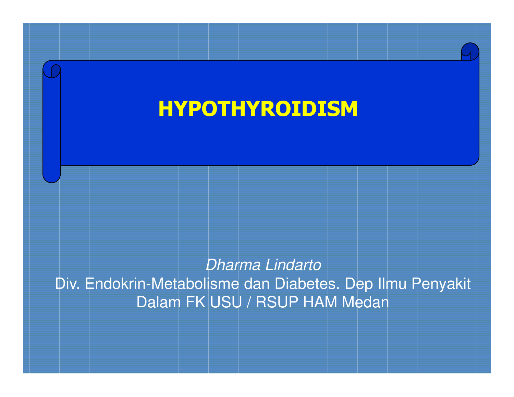#### HYPOTHYROIDISM

Dharma Lindarto Div. Endokrin-Metabolisme dan Diabetes. Dep Ilmu Penyakit Dalam FK USU / RSUP HAM Medan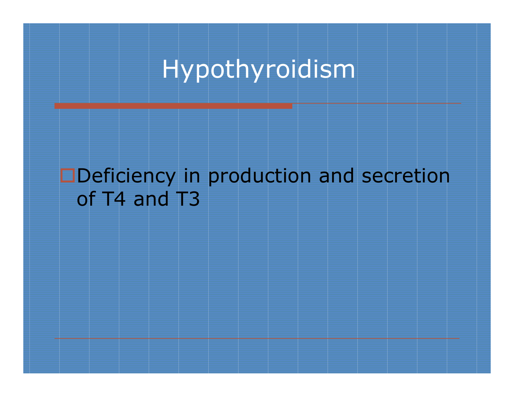#### Hypothyroidism

#### Deficiency in production and secretion of T4 and T3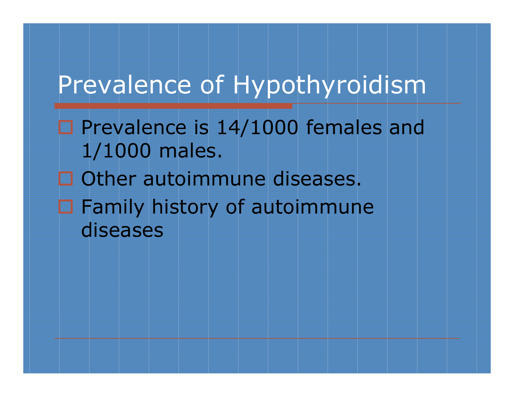## Prevalence of Hypothyroidism

- □ Prevalence is 14/1000 females and 1/1000 males.
- D Other autoimmune diseases.
- □ Family history of autoimmune diseases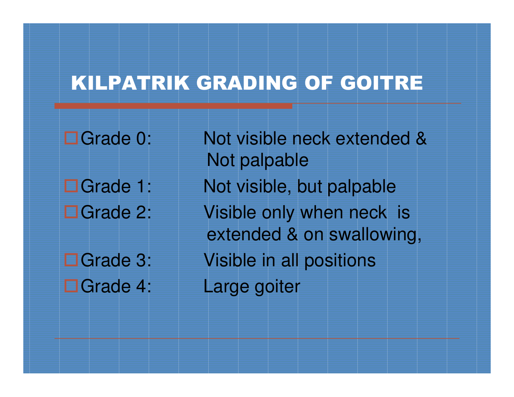#### KILPATRIK GRADING OF GOITRE

□ Grade 0: Not visible neck extended & Not palpable□ Grade 1: Not visible, but palpable  $\Box$  Grade 2: Visible only when neck is extended & on swallowing,□ Grade 3: Visible in all positions □ Grade 4: Large goiter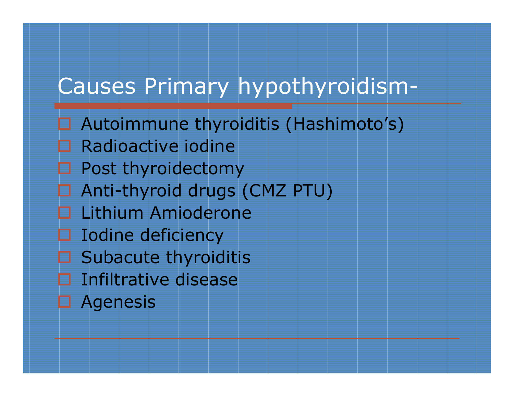#### Causes Primary hypothyroidism-

- □ Autoimmune thyroiditis (Hashimoto's)
- **□ Radioactive iodine**<br>□ Rest th*u*seidestem
- D Post thyroidectomy
- Anti -thyroid drugs (CMZ PTU)
- Lithium Amioderone
- □ Iodine deficiency<br>□ Cubasute thweid
- □ Subacute thyroiditis<br>□ Infiltrative disease
- □ Infiltrative disease
- Agenesis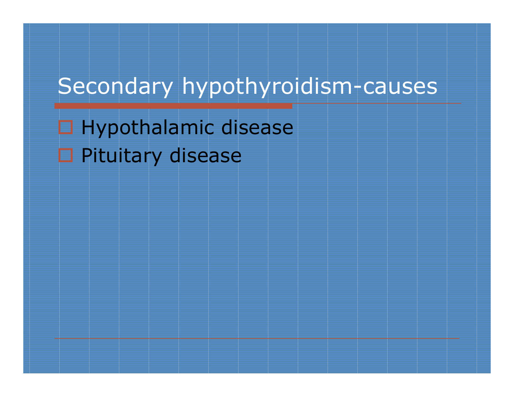#### Secondary hypothyroidism-causes

□ Hypothalamic disease  $\square$  Pituitary disease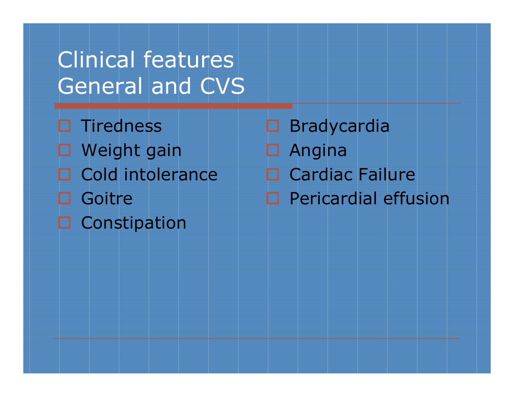#### Clinical featuresGeneral and CVS

 $\square$  Tiredness □ Weight gain □ Cold intolerance □ Goitre<br>□ G □ Constipation

□ Bradycardia<br>□ A Angina □ Cardiac Failure<br>□ P  $\square$  Pericardial effusion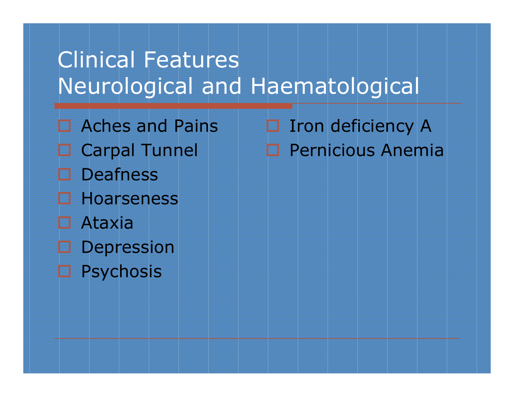#### Clinical FeaturesNeurological and Haematological

- 
- □ Carpal Tunnel
- □ Deafness<br>□
- □ Hoarseness
- □ Ataxia<br>□ **D**
- $\square$  Depression
- $\square$  Psychosis

□ Aches and Pains □ Iron deficiency A □ Pernicious Anemia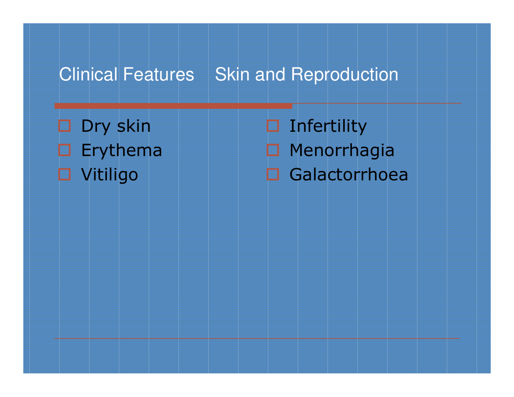#### Clinical Features Skin and Reproduction

□ Dry skin<br>□ F □ Erythema Vitiligo

 $\square$  Infertility **□ Menorrhagia Galactorrhoea**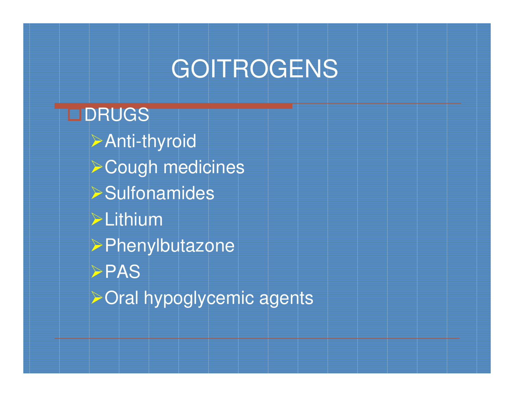#### GOITROGENS

**LDRUGS** >Anti-thyroid **≻Cough medicines >Sulfonamides** -Lithium -Phenylbutazone $\triangleright$  PAS > Oral hypoglycemic agents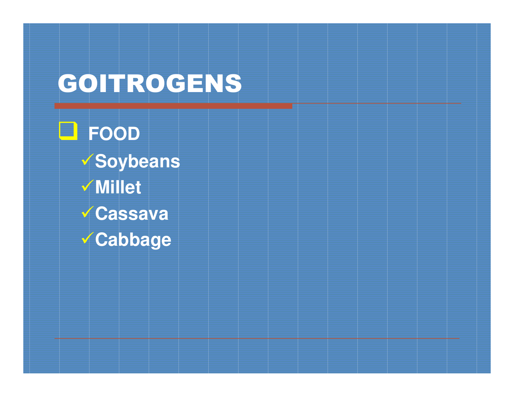## GOITROGENS

 **FOOD SoybeansMilletCassavaCabbage**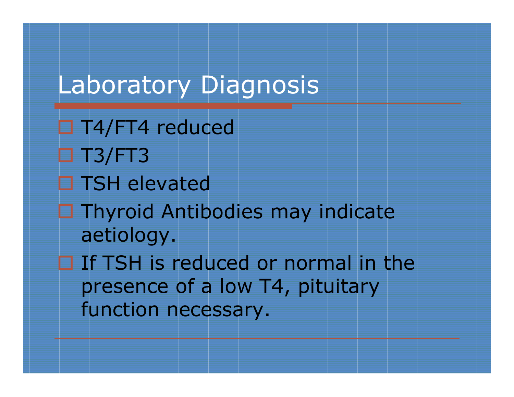## Laboratory Diagnosis

- □ T4/FT4 reduced<br>□ T3 /ET3
- $\Box$  T3/FT3
- **O** TSH elevated
- Thyroid Antibodies may indicate aetiology.

 $\Box$  If TSH is reduced or normal in the presence of a low T4, pituitary function necessary.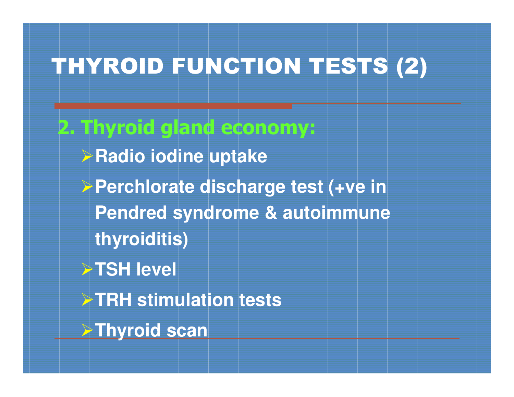#### THYROID FUNCTION TESTS (2)

2. Thyroid gland economy:-**Radio iodine uptake** -**Perchlorate discharge test (+ve in Pendred syndrome & autoimmune thyroiditis)**-**TSH level**-**TRH stimulation tests** $\blacktriangleright$ Thyroid scan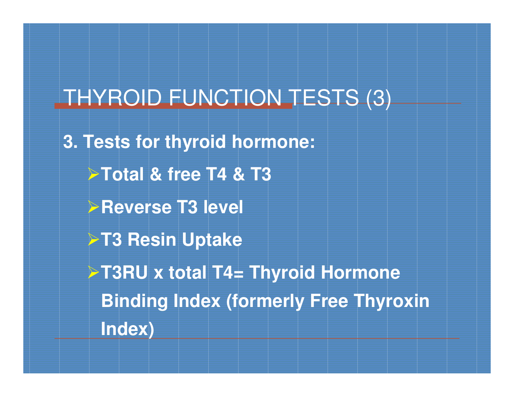THYROID FUNCTION TESTS (3)**3. Tests for thyroid hormone:**-**Total & free T4 & T3Exerce T3 level** -**T3 Resin Uptake** -**T3RU x total T4= Thyroid Hormone Binding Index (formerly Free Thyroxin Index)**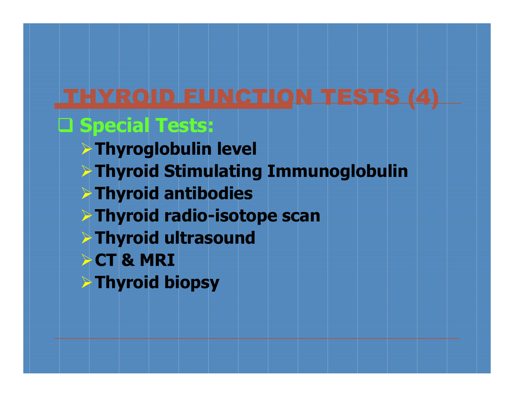# Special Tests:

> Thyroglobulin level -Thyroid Stimulating Immunoglobulin**External 2 Findian Antibodies** > Thyroid radio-isotope scan **Example 15 Thyroid ultrasound** -CT & MRI> Thyroid biopsy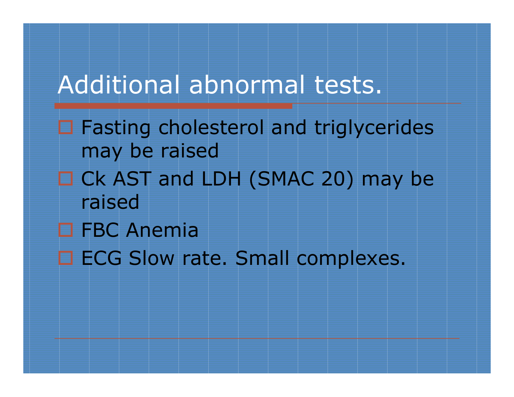#### Additional abnormal tests.

- □ Fasting cholesterol and triglycerides may be raised
- □ Ck AST and LDH (SMAC 20) may be raised
- □ FBC Anemia
- □ ECG Slow rate. Small complexes.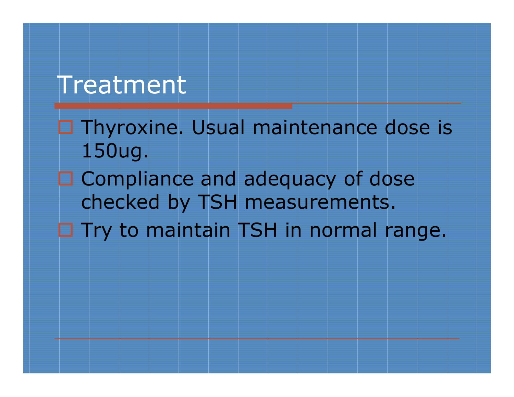#### Treatment

□ Thyroxine. Usual maintenance dose is<br>150ug 150ug.

□ Compliance and adequacy of dose checked by TSH measurements.

 $\Box$  Try to maintain TSH in normal range.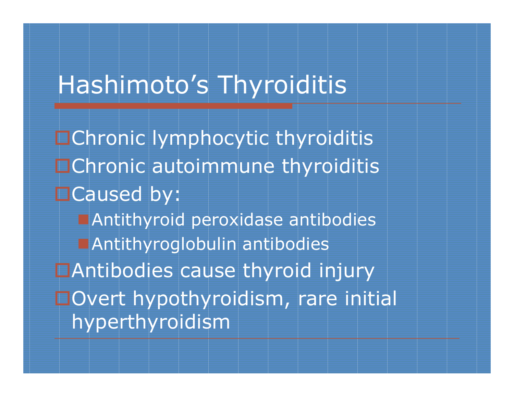#### Hashimoto's Thyroiditis

**EChronic lymphocytic thyroiditis** Chronic autoimmune thyroiditis**OCaused by:** Antithyroid peroxidase antibodiesAntithyroglobulin antibodiesAntibodies cause thyroid injury■Overt hypothyroidism, rare initial hyperthyroidism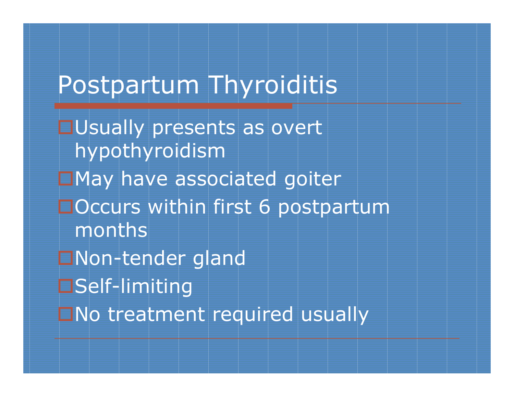#### Postpartum Thyroiditis

**Elusually presents as overt** hypothyroidismMay have associated goiter■Occurs within first 6 postpartum monthsNon-tender glandSelf-limitingNo treatment required usually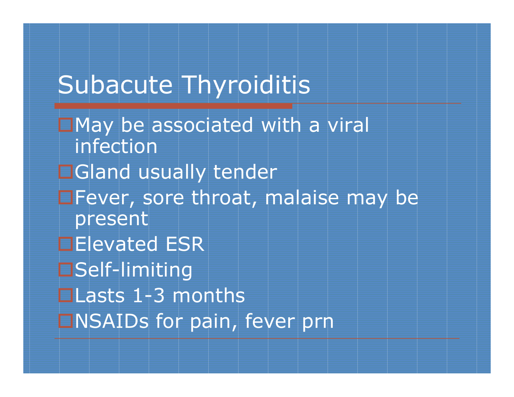## Subacute Thyroiditis

 $\Box$ May be associated with a viral infection**□Gland usually tender EFever, sore throat, malaise may be** present**Elevated ESR**  Self-limiting Lasts 1-3 monthsNSAIDs for pain, fever prn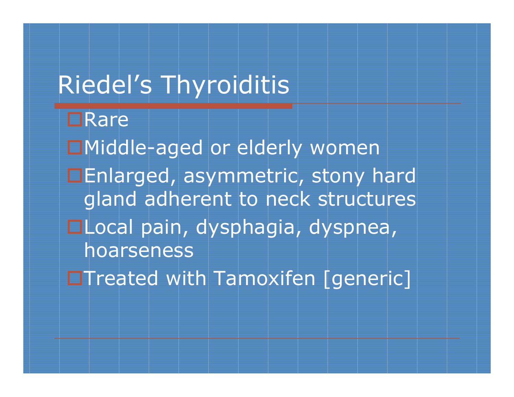## Riedel's Thyroiditis

**ERare**  Middle-aged or elderly women**Enlarged, asymmetric, stony hard** gland adherent to neck structures**Local pain, dysphagia, dyspnea,** hoarseness $\blacksquare$  Treated with Tamoxifen [generic]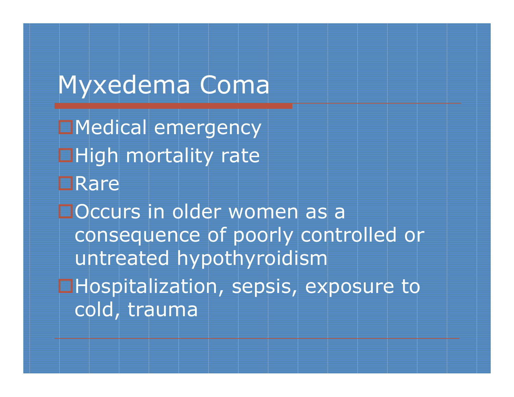#### Myxedema Coma

**EMedical emergency High mortality rate ERare** ■Occurs in older women as a consequence of poorly controlled or untreated hypothyroidism**EHospitalization, sepsis, exposure to** cold, trauma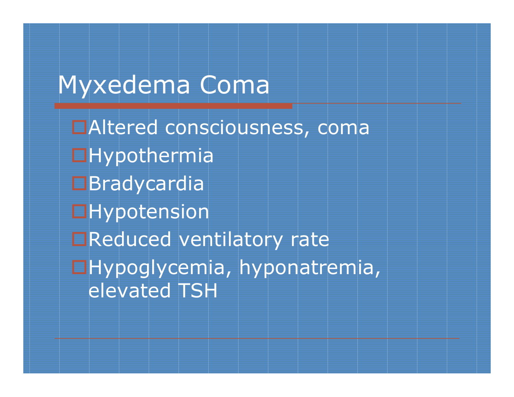#### Myxedema Coma

Altered consciousness, coma**EHypothermia □Bradycardia E**Hypotension ■Reduced ventilatory rate Hypoglycemia, hyponatremia, elevated TSH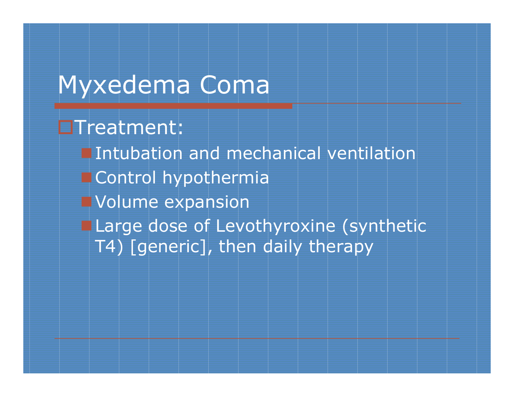#### Myxedema Coma

**Treatment: Intubation and mechanical ventilation** Control hypothermia **Nolume expansion**  Large dose of Levothyroxine (synthetic T4) [generic], then daily therapy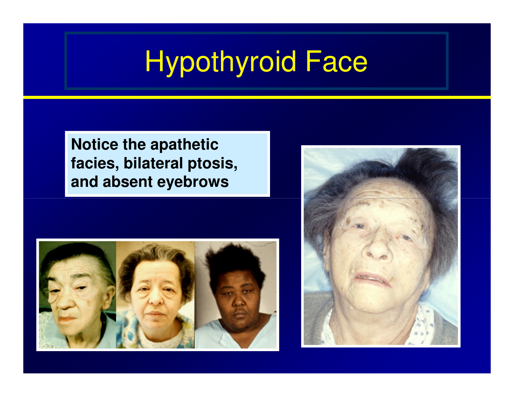# Hypothyroid Face

#### **Notice the apathetic facies, bilateral ptosis, and absent eyebrows**



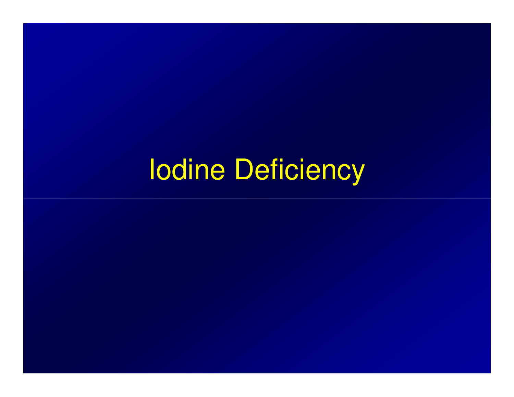## Iodine Deficiency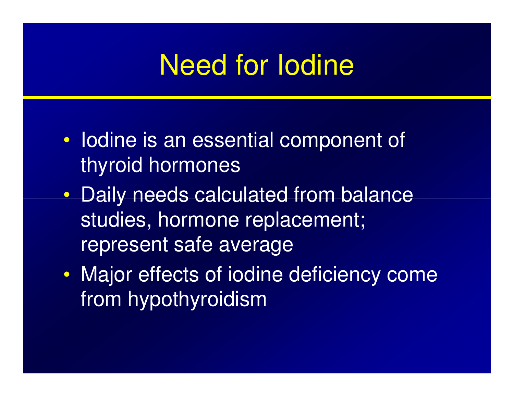## Need for Iodine

- $\bullet$ • Iodine is an essential component of thyroid hormones
- $\bullet$  Daily needs calculated from balance studies, hormone replacement; represent safe average
- $\bullet$  Major effects of iodine deficiency come from hypothyroidism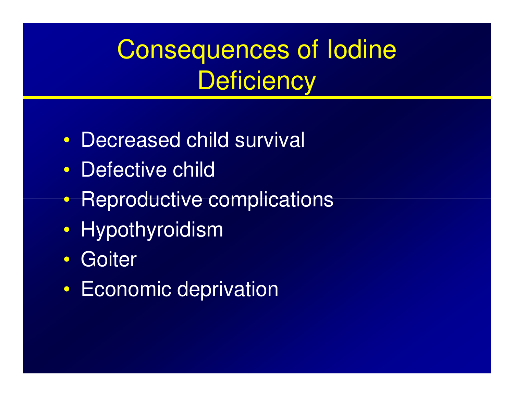## Consequences of Iodine **Deficiency**

- $\bullet$ • Decreased child survival
- $\bullet$ • Defective child
- $\bullet$ • Reproductive complications
- $\bullet$ Hypothyroidism
- $\bullet$ • Goiter
- $\bullet$ • Economic deprivation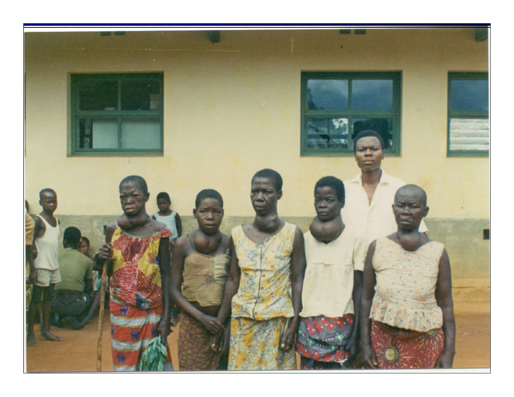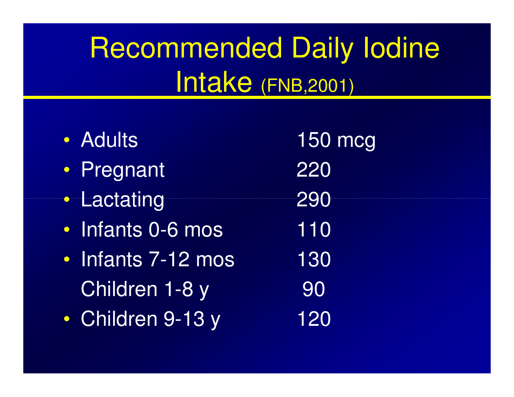# Recommended Daily Iodine Intake (FNB,2001)

| · Adults           | 150 mcg |
|--------------------|---------|
| • Pregnant         | 220     |
| • Lactating        | 290     |
| • Infants 0-6 mos  | 110     |
| • Infants 7-12 mos | 130     |
| Children 1-8 y     | 90      |
| • Children 9-13 y  | 120     |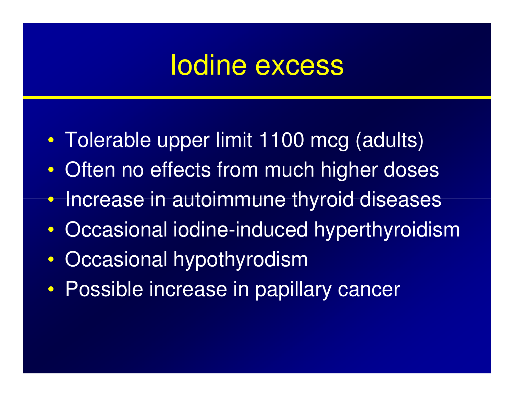### Iodine excess

- $\bullet$ Tolerable upper limit 1100 mcg (adults)
- $\bullet$ Often no effects from much higher doses
- $\bullet$ • Increase in autoimmune thyroid diseases
- $\bullet$ Occasional iodine-induced hyperthyroidism
- $\bullet$ • Occasional hypothyrodism
- Possibla incraasa in nani Possible increase in papillary cancer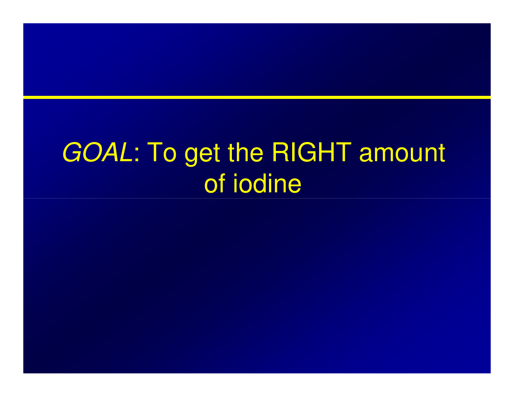## GOAL: To get the RIGHT amount of iodine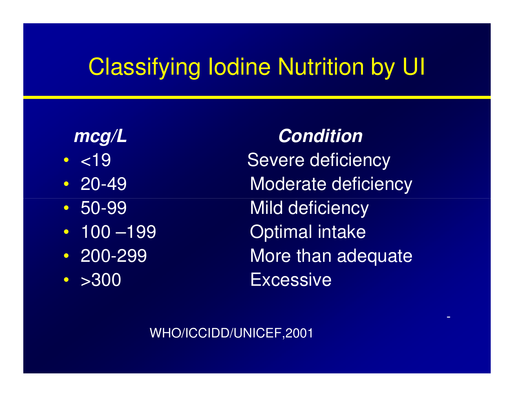#### Classifying Iodine Nutrition by UI

- <19
- 20-49
- <sup>50</sup>-99
- $\bullet$
- 200-299
- >300

#### **mcg/L Condition**

• <19 Severe deficiency Moderate deficiency Mild deficiency Optimal intake • 200-299 More than adequate **Excessive** 

-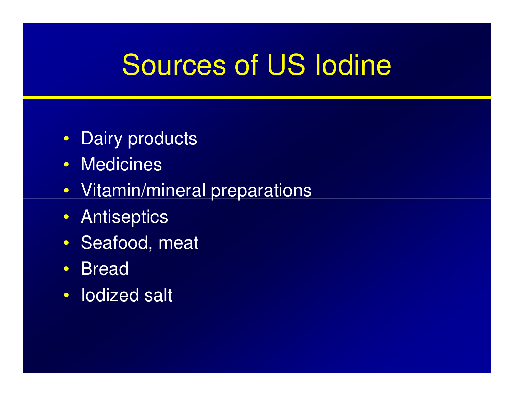## Sources of US Iodine

- Dairy products
- Medicines
- Vitamin/mineral preparations
- Antiseptics
- Seafood, meat
- Bread
- Iodized salt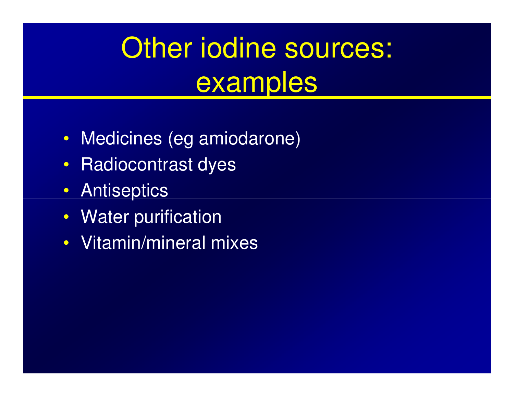# Other iodine sources: examples

- Medicines (eg amiodarone)
- Radiocontrast dyes
- Antiseptics
- Water purification
- Vitamin/mineral mixes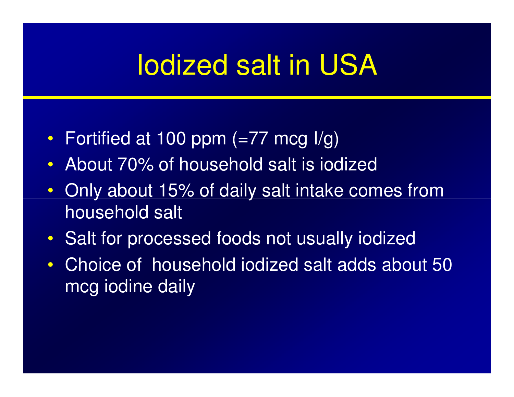## Iodized salt in USA

- Fortified at 100 ppm (=77 mcg I/g)
- About 70% of household salt is iodized
- Only about 15% of daily salt intake comes from household salt
- Salt for processed foods not usually iodized
- Choice of household iodized salt adds about 50 mcg iodine daily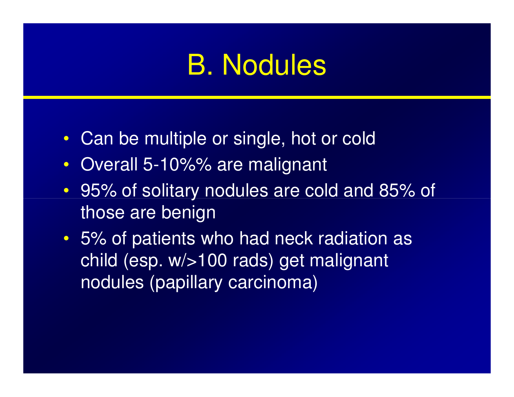## B. Nodules

- Can be multiple or single, hot or cold
- Overall 5-10%% are malignant
- 95% of solitary nodules are cold and 85% of those are benign
- 5% of patients who had neck radiation as child (esp. w/>100 rads) get malignant nodules (papillary carcinoma)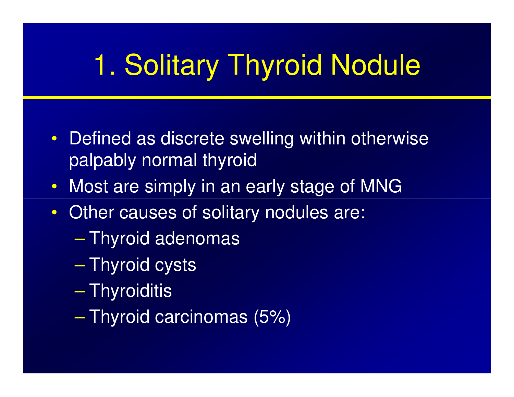# 1. Solitary Thyroid Nodule

- Defined as discrete swelling within otherwise palpably normal thyroid
- $\bullet$ Most are simply in an early stage of MNG
- $\bullet$ Other causes of solitary nodules are:
	- $\mathcal{L}_{\mathcal{A}}$  , and the set of the set of the set of the set of the set of the set of the set of the set of the set of the set of the set of the set of the set of the set of the set of the set of the set of the set of th  $-$  Thyroid adenomas
	- $\mathcal{L}_{\mathcal{A}}$  , where  $\mathcal{L}_{\mathcal{A}}$  is the set of the set of the set of the set of the set of the set of the set of the set of the set of the set of the set of the set of the set of the set of the set of the set of the — Thyroid cysts
	- $\mathcal{L}_{\mathcal{A}}$  , and the set of the set of the set of the set of the set of the set of the set of the set of the set of the set of the set of the set of the set of the set of the set of the set of the set of the set of th — Thyroiditis
	- $\mathcal{L}_{\mathcal{A}}$  , where  $\mathcal{L}_{\mathcal{A}}$  is the set of the set of the set of the set of the set of the set of the set of the set of the set of the set of the set of the set of the set of the set of the set of the set of the  $-$  Thyroid carcinomas (5%)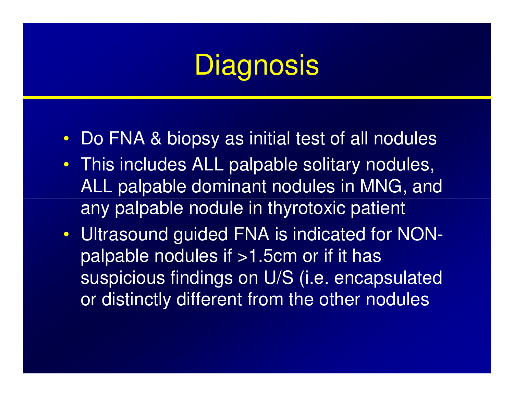## **Diagnosis**

- •Do FNA & biopsy as initial test of all nodules
- This includes ALL palpable solitary nodules, ALL palpable dominant nodules in MNG, and any palpable nodule in thyrotoxic patient
- Ultrasound guided FNA is indicated for NONpalpable nodules if >1.5cm or if it has suspicious findings on U/S (i.e. encapsulated or distinctly different from the other nodules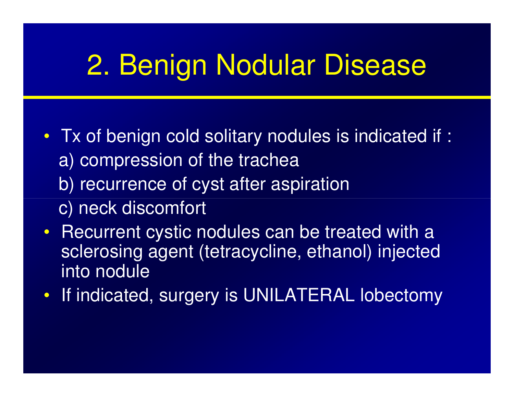## 2. Benign Nodular Disease

- Tx of benign cold solitary nodules is indicated if : a) compression of the trachea b) recurrence of cyst after aspiration c) neck discomfort
- $\bullet$ Recurrent cystic nodules can be treated with a sclerosing agent (tetracycline, ethanol) injected into nodule
- If indicated, surgery is UNILATERAL lobectomy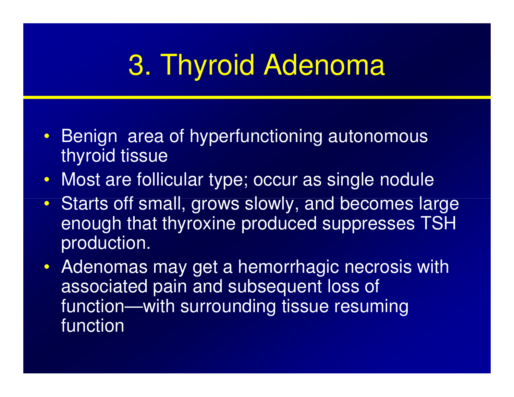## 3. Thyroid Adenoma

- Benign area of hyperfunctioning autonomous thyroid tissue
- Most are follicular type; occur as single nodule $\bullet$
- Starts off small, grows slowly, and becomes large  $\bullet$ enough that thyroxine produced suppresses TSH production.
- Adenomas may get a hemorrhagic necrosis with associated pain and subsequent loss of function—with surrounding tissue resuming function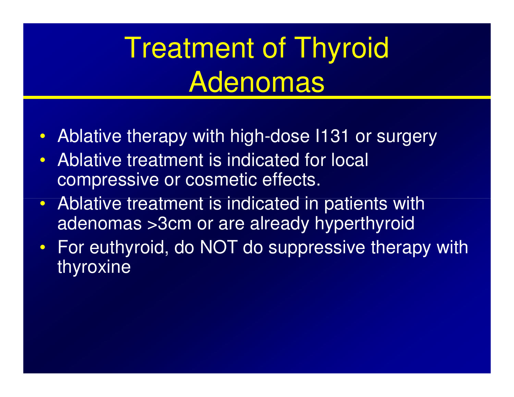# Treatment of Thyroid Adenomas

- $\bullet$ Ablative therapy with high-dose I131 or surgery
- $\bullet$  Ablative treatment is indicated for local compressive or cosmetic effects.
- $\bullet$  Ablative treatment is indicated in patients with adenomas >3cm or are already hyperthyroid
- For euthyroid, do NOT do suppressive therapy with  $\bullet$ thyroxine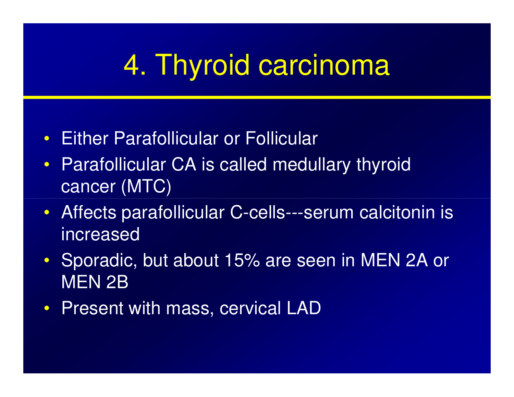## 4. Thyroid carcinoma

- $\bullet$ Either Parafollicular or Follicular
- Parafollicular CA is called medullary thyroid cancer (MTC)
- Affects parafollicular C-cells---serum calcitonin is increased
- Sporadic, but about 15% are seen in MEN 2A or MEN 2B
- Present with mass, cervical LAD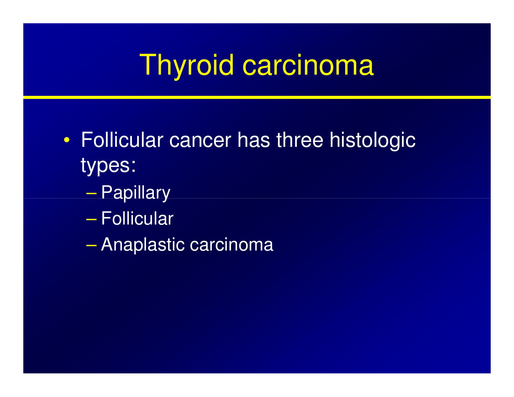## Thyroid carcinoma

- $\bullet$  Follicular cancer has three histologic types:
	- –Papillary
	- $\mathcal{L}_{\mathcal{A}}$  , and the set of the set of the set of the set of the set of the set of the set of the set of the set of the set of the set of the set of the set of the set of the set of the set of the set of the set of th – Follicular
	- $\mathcal{L}_{\mathcal{A}}$  , where  $\mathcal{L}_{\mathcal{A}}$  is the set of the set of the set of the set of the set of the set of the set of the set of the set of the set of the set of the set of the set of the set of the set of the set of the Anaplastic carcinoma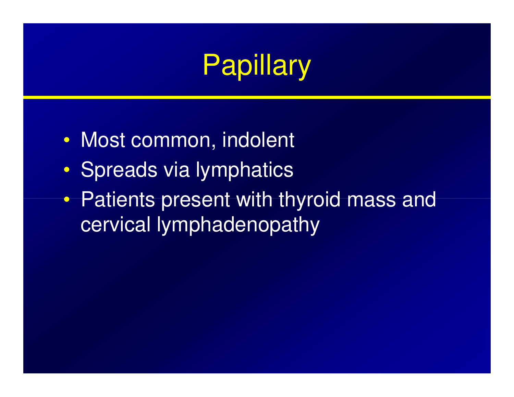## Papillary

- $\bullet$ Most common, indolent
- $\bullet$ • Spreads via lymphatics
- $\bullet$  Patients present with thyroid mass and cervical lymphadenopathy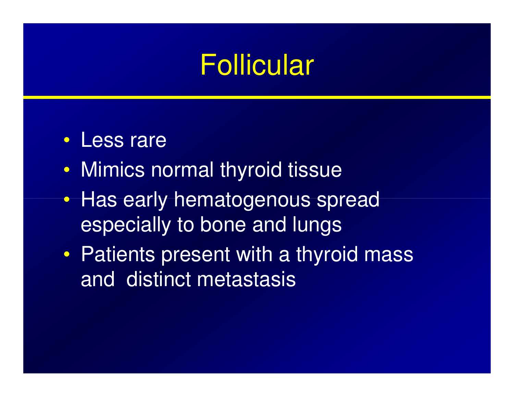## Follicular

- $\bullet$ Less rare
- $\bullet$ Mimics normal thyroid tissue
- $\bullet$ • Has early hematogenous spread especially to bone and lungs
- $\bullet$ • Patients present with a thyroid mass and distinct metastasis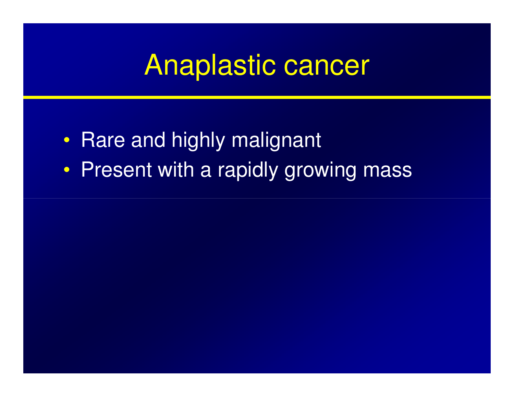## Anaplastic cancer

- $\bullet$ • Rare and highly malignant
- $\bullet$ • Present with a rapidly growing mass